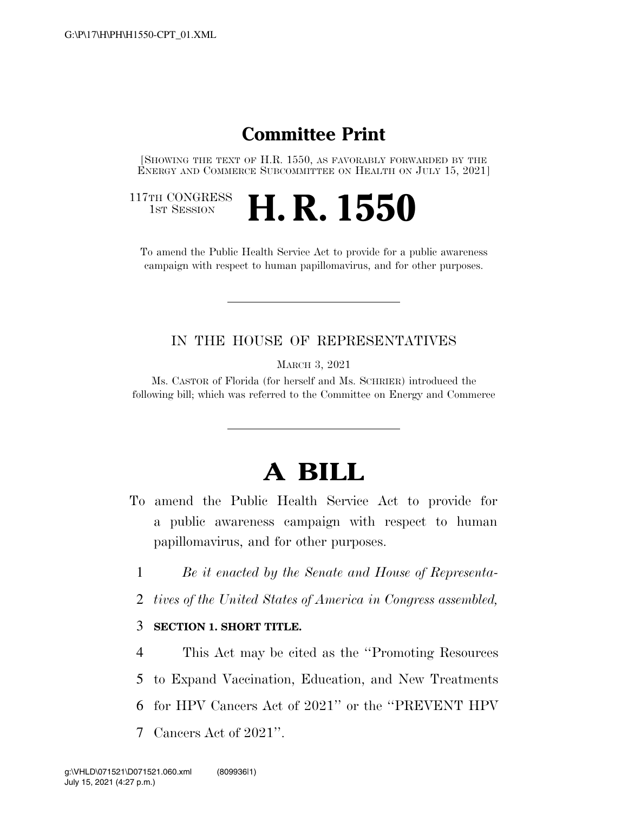## **Committee Print**

[SHOWING THE TEXT OF H.R. 1550, AS FAVORABLY FORWARDED BY THE ENERGY AND COMMERCE SUBCOMMITTEE ON HEALTH ON JULY 15, 2021]

117TH CONGRESS<br>1st Session

**H. R. 1550** 

To amend the Public Health Service Act to provide for a public awareness campaign with respect to human papillomavirus, and for other purposes.

## IN THE HOUSE OF REPRESENTATIVES

MARCH 3, 2021

Ms. CASTOR of Florida (for herself and Ms. SCHRIER) introduced the following bill; which was referred to the Committee on Energy and Commerce

## **A BILL**

- To amend the Public Health Service Act to provide for a public awareness campaign with respect to human papillomavirus, and for other purposes.
	- 1 *Be it enacted by the Senate and House of Representa-*
	- 2 *tives of the United States of America in Congress assembled,*

## 3 **SECTION 1. SHORT TITLE.**

 This Act may be cited as the ''Promoting Resources to Expand Vaccination, Education, and New Treatments for HPV Cancers Act of 2021'' or the ''PREVENT HPV Cancers Act of 2021''.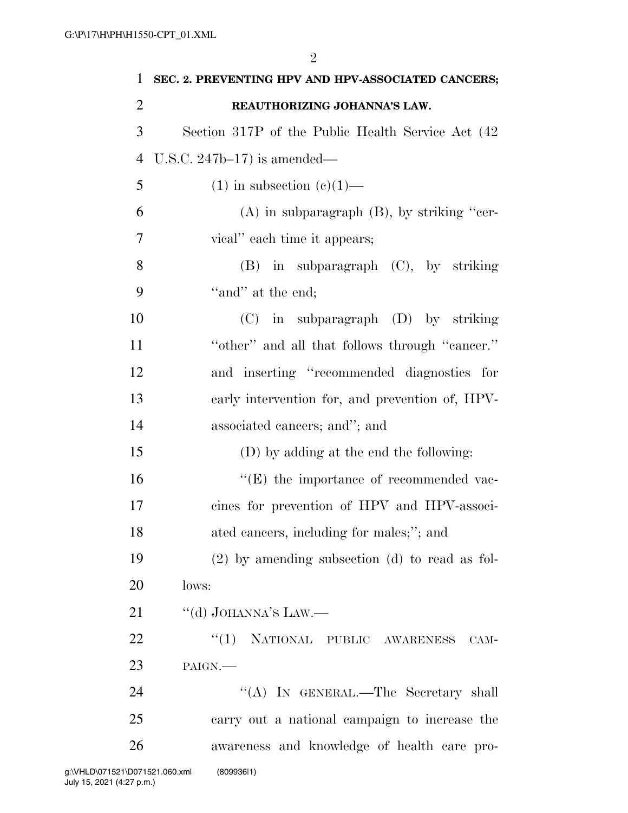| SEC. 2. PREVENTING HPV AND HPV-ASSOCIATED CANCERS; |
|----------------------------------------------------|
| REAUTHORIZING JOHANNA'S LAW.                       |
| Section 317P of the Public Health Service Act (42) |
| U.S.C. $247b-17$ is amended—                       |
| $(1)$ in subsection $(e)(1)$ —                     |
| $(A)$ in subparagraph $(B)$ , by striking "cer-    |
| vical" each time it appears;                       |
| $(B)$ in subparagraph $(C)$ , by striking          |
| "and" at the end;                                  |
| $(C)$ in subparagraph $(D)$ by striking            |
| "other" and all that follows through "cancer."     |
| and inserting "recommended diagnostics for         |
| early intervention for, and prevention of, HPV-    |
| associated cancers; and"; and                      |
| (D) by adding at the end the following:            |
| $\lq\lq$ (E) the importance of recommended vac-    |
| cines for prevention of HPV and HPV-associ-        |
| ated cancers, including for males;"; and           |
| $(2)$ by amending subsection $(d)$ to read as fol- |
| lows:                                              |
| "(d) JOHANNA'S LAW.—                               |
| "(1) NATIONAL PUBLIC AWARENESS<br>CAM-             |
| PAIGN.                                             |
|                                                    |
| "(A) IN GENERAL.—The Secretary shall               |
| carry out a national campaign to increase the      |
|                                                    |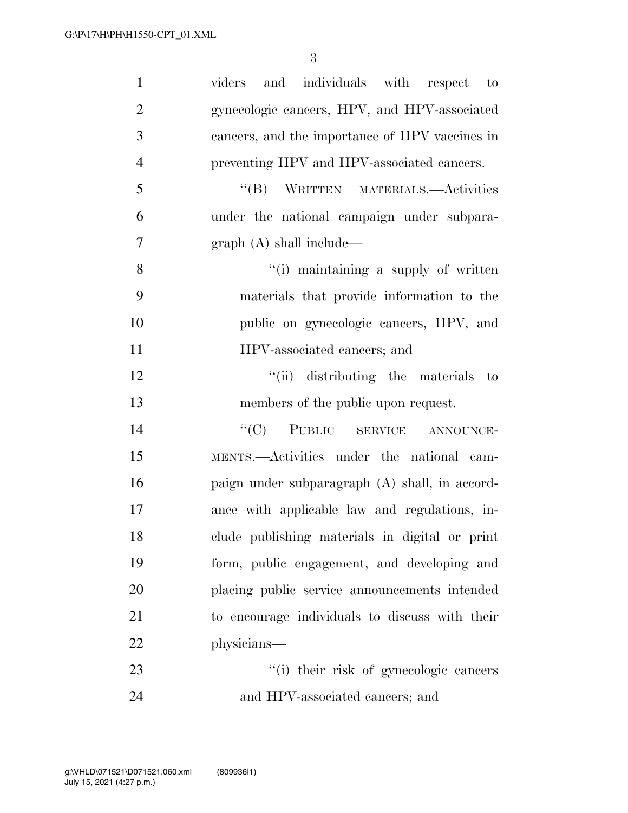| $\mathbf{1}$   | and individuals with respect to<br>viders      |
|----------------|------------------------------------------------|
| $\overline{2}$ | gynecologic cancers, HPV, and HPV-associated   |
| 3              | cancers, and the importance of HPV vaccines in |
| $\overline{4}$ | preventing HPV and HPV-associated cancers.     |
| 5              | "(B) WRITTEN MATERIALS.—Activities             |
| 6              | under the national campaign under subpara-     |
| 7              | graph(A) shall include—                        |
| 8              | "(i) maintaining a supply of written           |
| 9              | materials that provide information to the      |
| 10             | public on gynecologic cancers, HPV, and        |
| 11             | HPV-associated cancers; and                    |
| 12             | "(ii) distributing the materials to            |
| 13             | members of the public upon request.            |
| 14             | "(C) PUBLIC SERVICE ANNOUNCE-                  |
| 15             | MENTS.—Activities under the national cam-      |
| 16             | paign under subparagraph (A) shall, in accord- |
| 17             | ance with applicable law and regulations, in-  |
| 18             | clude publishing materials in digital or print |
| 19             | form, public engagement, and developing and    |
| 20             | placing public service announcements intended  |
| 21             | to encourage individuals to discuss with their |
| 22             | physicians—                                    |
| 23             | "(i) their risk of gynecologic cancers         |
| 24             | and HPV-associated cancers; and                |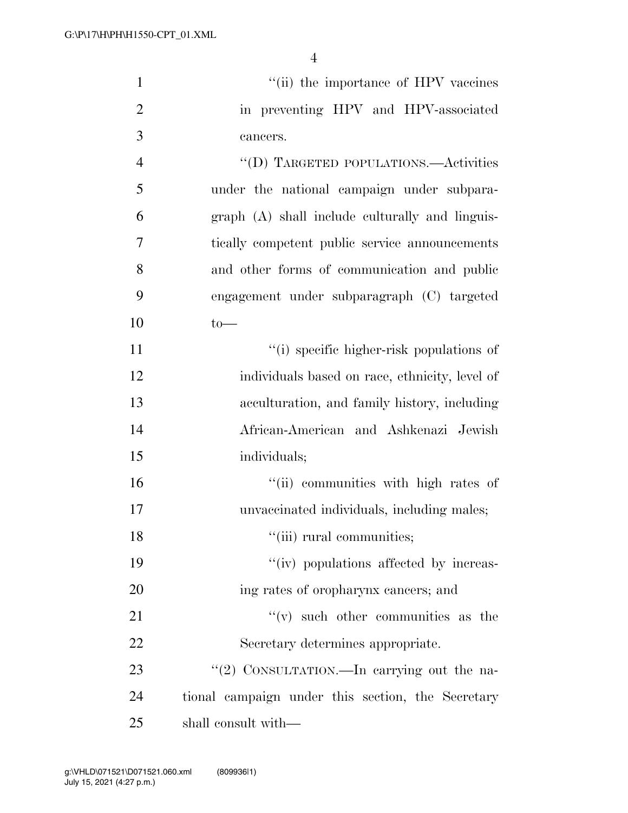| $\mathbf{1}$   | "(ii) the importance of HPV vaccines              |
|----------------|---------------------------------------------------|
| $\overline{2}$ | in preventing HPV and HPV-associated              |
| 3              | cancers.                                          |
| $\overline{4}$ | "(D) TARGETED POPULATIONS.—Activities             |
| 5              | under the national campaign under subpara-        |
| 6              | graph (A) shall include culturally and linguis-   |
| 7              | tically competent public service announcements    |
| 8              | and other forms of communication and public       |
| 9              | engagement under subparagraph (C) targeted        |
| 10             | $to-$                                             |
| 11             | "(i) specific higher-risk populations of          |
| 12             | individuals based on race, ethnicity, level of    |
| 13             | acculturation, and family history, including      |
| 14             | African-American and Ashkenazi Jewish             |
| 15             | individuals;                                      |
| 16             | "(ii) communities with high rates of              |
| 17             | unvaccinated individuals, including males;        |
| 18             | "(iii) rural communities;                         |
| 19             | "(iv) populations affected by increas-            |
| 20             | ing rates of oropharynx cancers; and              |
| 21             | $f'(v)$ such other communities as the             |
| 22             | Secretary determines appropriate.                 |
| 23             | "(2) CONSULTATION.—In carrying out the na-        |
| 24             | tional campaign under this section, the Secretary |
| 25             | shall consult with—                               |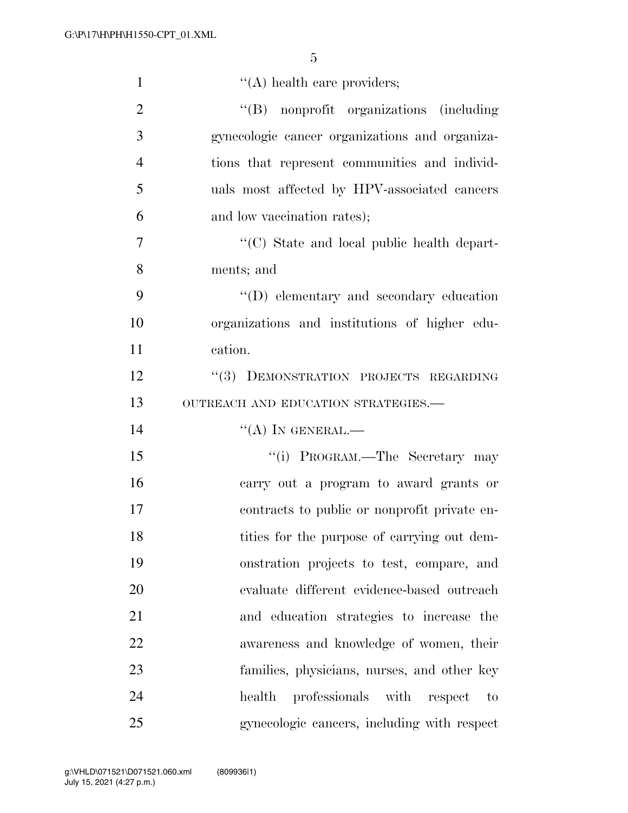| $\mathbf{1}$   | $\lq\lq$ health care providers;                 |
|----------------|-------------------------------------------------|
| $\overline{2}$ | "(B) nonprofit organizations (including         |
| 3              | gynecologic cancer organizations and organiza-  |
| $\overline{4}$ | tions that represent communities and individ-   |
| 5              | uals most affected by HPV-associated cancers    |
| 6              | and low vaccination rates);                     |
| $\overline{7}$ | "(C) State and local public health depart-      |
| 8              | ments; and                                      |
| 9              | $\lq\lq$ (D) elementary and secondary education |
| 10             | organizations and institutions of higher edu-   |
| 11             | cation.                                         |
| 12             | "(3) DEMONSTRATION PROJECTS REGARDING           |
| 13             | OUTREACH AND EDUCATION STRATEGIES.-             |
| 14             | $\lq\lq (A)$ In GENERAL.—                       |
| 15             | "(i) PROGRAM.—The Secretary may                 |
| 16             | carry out a program to award grants or          |
| 17             | contracts to public or nonprofit private en-    |
| 18             | tities for the purpose of carrying out dem-     |
| 19             | onstration projects to test, compare, and       |
| 20             | evaluate different evidence-based outreach      |
| 21             | and education strategies to increase the        |
| 22             | awareness and knowledge of women, their         |
| 23             | families, physicians, nurses, and other key     |
| 24             | professionals with<br>health<br>respect<br>to   |
| 25             | gynecologic cancers, including with respect     |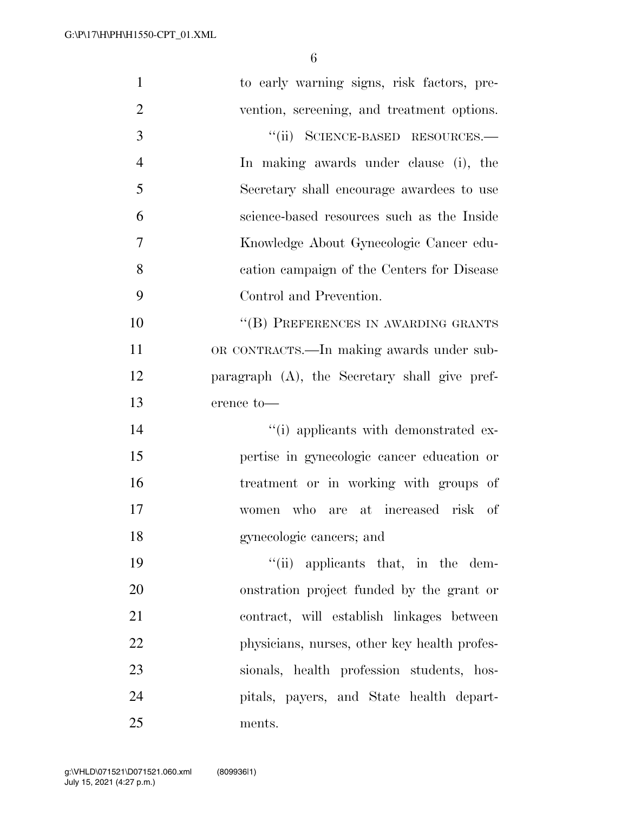| $\mathbf{1}$   | to early warning signs, risk factors, pre-    |
|----------------|-----------------------------------------------|
| $\overline{2}$ | vention, screening, and treatment options.    |
| 3              | "(ii) SCIENCE-BASED RESOURCES.-               |
| $\overline{4}$ | In making awards under clause (i), the        |
| 5              | Secretary shall encourage awardees to use     |
| 6              | science-based resources such as the Inside    |
| 7              | Knowledge About Gynecologic Cancer edu-       |
| 8              | cation campaign of the Centers for Disease    |
| 9              | Control and Prevention.                       |
| 10             | "(B) PREFERENCES IN AWARDING GRANTS           |
| 11             | OR CONTRACTS.—In making awards under sub-     |
| 12             | paragraph (A), the Secretary shall give pref- |
| 13             | erence to-                                    |
| 14             | "(i) applicants with demonstrated ex-         |
| 15             | pertise in gynecologic cancer education or    |
| 16             | treatment or in working with groups of        |
| 17             | women who are at increased risk of            |
| 18             | gynecologic cancers; and                      |
| 19             | "(ii) applicants that, in the dem-            |
| 20             | onstration project funded by the grant or     |
| 21             | contract, will establish linkages between     |
| 22             | physicians, nurses, other key health profes-  |
| 23             | sionals, health profession students, hos-     |
| 24             | pitals, payers, and State health depart-      |
| 25             | ments.                                        |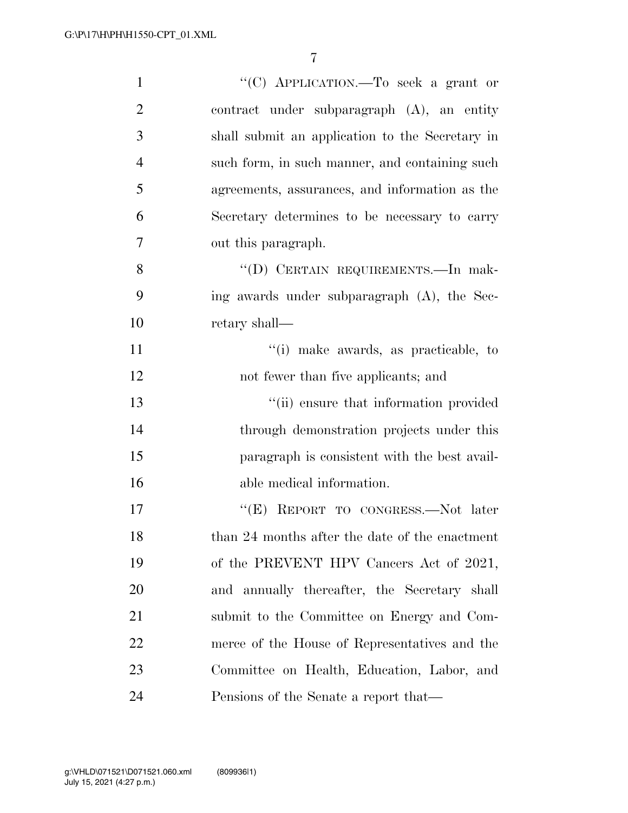| $\mathbf{1}$   | "(C) APPLICATION.—To seek a grant or            |
|----------------|-------------------------------------------------|
| $\overline{2}$ | contract under subparagraph $(A)$ , an entity   |
| 3              | shall submit an application to the Secretary in |
| $\overline{4}$ | such form, in such manner, and containing such  |
| 5              | agreements, assurances, and information as the  |
| 6              | Secretary determines to be necessary to carry   |
| 7              | out this paragraph.                             |
| 8              | "(D) CERTAIN REQUIREMENTS.—In mak-              |
| 9              | ing awards under subparagraph (A), the Sec-     |
| 10             | retary shall—                                   |
| 11             | "(i) make awards, as practicable, to            |
| 12             | not fewer than five applicants; and             |
| 13             | "(ii) ensure that information provided          |
| 14             | through demonstration projects under this       |
| 15             | paragraph is consistent with the best avail-    |
| 16             | able medical information.                       |
| 17             | "(E) REPORT TO CONGRESS.—Not later              |
| 18             | than 24 months after the date of the enactment  |
| 19             | of the PREVENT HPV Cancers Act of 2021,         |
| 20             | and annually thereafter, the Secretary shall    |
| 21             | submit to the Committee on Energy and Com-      |
| 22             | merce of the House of Representatives and the   |
| 23             | Committee on Health, Education, Labor, and      |
| 24             | Pensions of the Senate a report that—           |